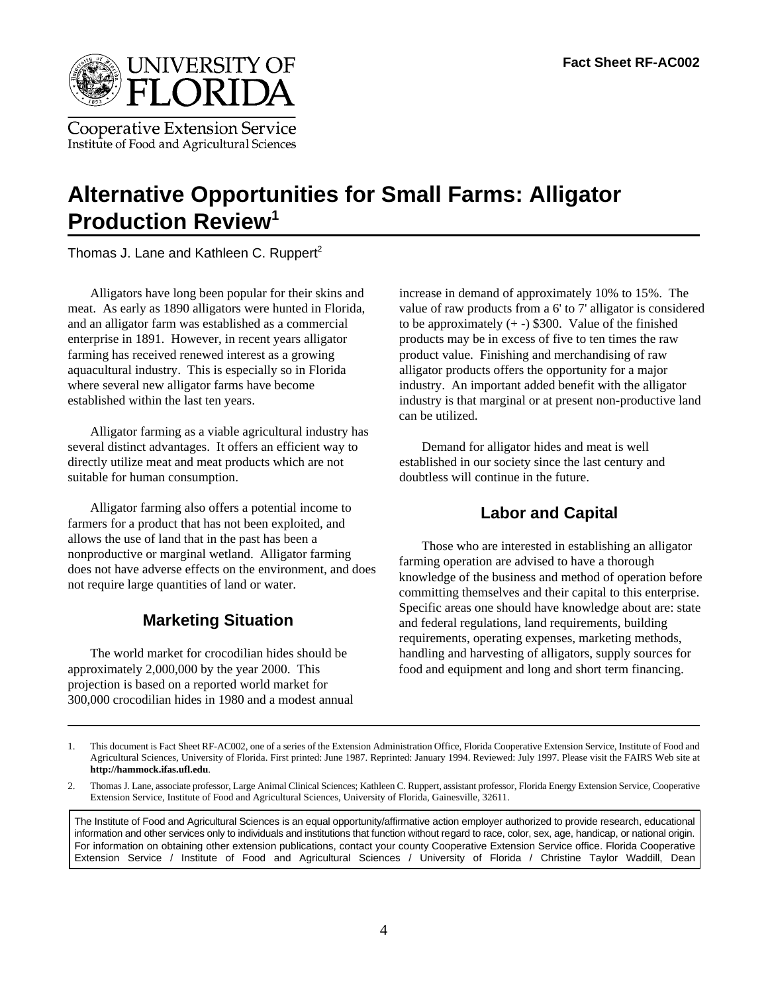

**Cooperative Extension Service** Institute of Food and Agricultural Sciences

# **Alternative Opportunities for Small Farms: Alligator Production Review1**

Thomas J. Lane and Kathleen C. Ruppert<sup>2</sup>

and an alligator farm was established as a commercial to be approximately  $(+)$  \$300. Value of the finished enterprise in 1891. However, in recent years alligator products may be in excess of five to ten times the raw farming has received renewed interest as a growing product value. Finishing and merchandising of raw aquacultural industry. This is especially so in Florida alligator products offers the opportunity for a major where several new alligator farms have become industry. An important added benefit with the alligator

Alligator farming as a viable agricultural industry has several distinct advantages. It offers an efficient way to Demand for alligator hides and meat is well directly utilize meat and meat products which are not established in our society since the last century and suitable for human consumption. doubtless will continue in the future.

Alligator farming also offers a potential income to farmers for a product that has not been exploited, and allows the use of land that in the past has been a nonproductive or marginal wetland. Alligator farming does not have adverse effects on the environment, and does not require large quantities of land or water.

## **Marketing Situation**

approximately 2,000,000 by the year 2000. This food and equipment and long and short term financing. projection is based on a reported world market for 300,000 crocodilian hides in 1980 and a modest annual

Alligators have long been popular for their skins and increase in demand of approximately 10% to 15%. The meat. As early as 1890 alligators were hunted in Florida, value of raw products from a 6' to 7' alligator is considered established within the last ten years. industry is that marginal or at present non-productive land can be utilized.

## **Labor and Capital**

The world market for crocodilian hides should be handling and harvesting of alligators, supply sources for Those who are interested in establishing an alligator farming operation are advised to have a thorough knowledge of the business and method of operation before committing themselves and their capital to this enterprise. Specific areas one should have knowledge about are: state and federal regulations, land requirements, building requirements, operating expenses, marketing methods,

The Institute of Food and Agricultural Sciences is an equal opportunity/affirmative action employer authorized to provide research, educational information and other services only to individuals and institutions that function without regard to race, color, sex, age, handicap, or national origin. For information on obtaining other extension publications, contact your county Cooperative Extension Service office. Florida Cooperative Extension Service / Institute of Food and Agricultural Sciences / University of Florida / Christine Taylor Waddill, Dean

<sup>1.</sup> This document is Fact Sheet RF-AC002, one of a series of the Extension Administration Office, Florida Cooperative Extension Service, Institute of Food and Agricultural Sciences, University of Florida. First printed: June 1987. Reprinted: January 1994. Reviewed: July 1997. Please visit the FAIRS Web site at **http://hammock.ifas.ufl.edu**.

<sup>2.</sup> Thomas J. Lane, associate professor, Large Animal Clinical Sciences; Kathleen C. Ruppert, assistant professor, Florida Energy Extension Service, Cooperative Extension Service, Institute of Food and Agricultural Sciences, University of Florida, Gainesville, 32611.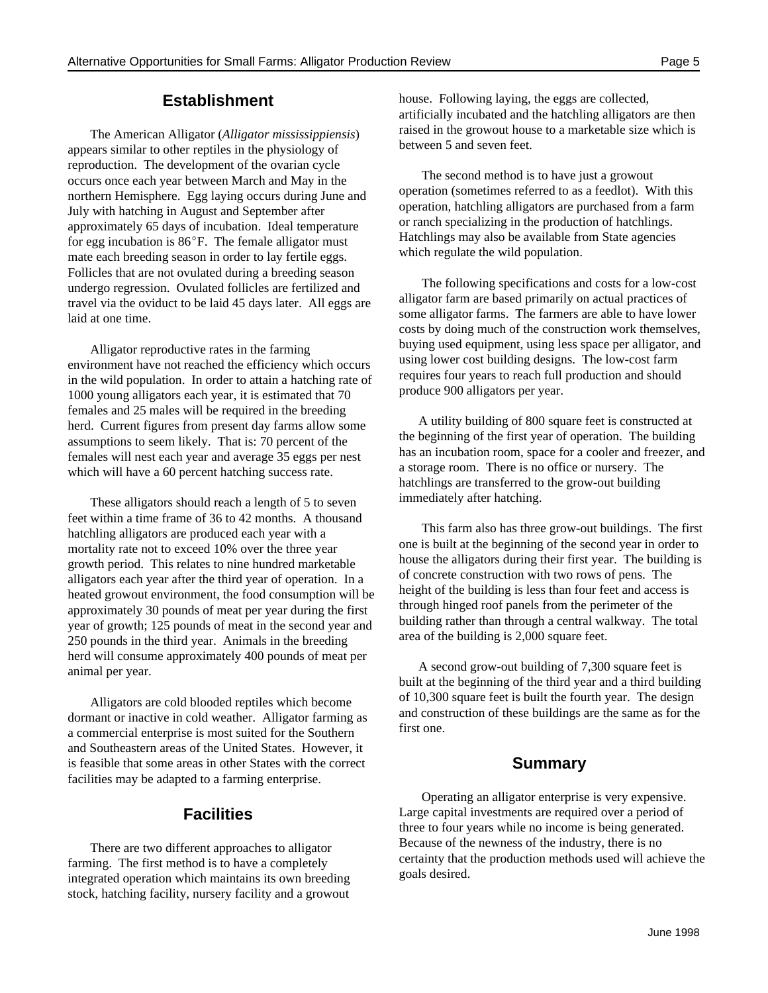### **Establishment**

The American Alligator (*Alligator mississippiensis*) appears similar to other reptiles in the physiology of reproduction. The development of the ovarian cycle occurs once each year between March and May in the northern Hemisphere. Egg laying occurs during June and July with hatching in August and September after approximately 65 days of incubation. Ideal temperature for egg incubation is 86F. The female alligator must mate each breeding season in order to lay fertile eggs. Follicles that are not ovulated during a breeding season undergo regression. Ovulated follicles are fertilized and travel via the oviduct to be laid 45 days later. All eggs are laid at one time.

Alligator reproductive rates in the farming environment have not reached the efficiency which occurs in the wild population. In order to attain a hatching rate of 1000 young alligators each year, it is estimated that 70 females and 25 males will be required in the breeding herd. Current figures from present day farms allow some assumptions to seem likely. That is: 70 percent of the females will nest each year and average 35 eggs per nest which will have a 60 percent hatching success rate.

These alligators should reach a length of 5 to seven feet within a time frame of 36 to 42 months. A thousand hatchling alligators are produced each year with a mortality rate not to exceed 10% over the three year growth period. This relates to nine hundred marketable alligators each year after the third year of operation. In a heated growout environment, the food consumption will be approximately 30 pounds of meat per year during the first year of growth; 125 pounds of meat in the second year and 250 pounds in the third year. Animals in the breeding herd will consume approximately 400 pounds of meat per animal per year.

Alligators are cold blooded reptiles which become dormant or inactive in cold weather. Alligator farming as a commercial enterprise is most suited for the Southern and Southeastern areas of the United States. However, it is feasible that some areas in other States with the correct facilities may be adapted to a farming enterprise.

#### **Facilities**

There are two different approaches to alligator farming. The first method is to have a completely integrated operation which maintains its own breeding stock, hatching facility, nursery facility and a growout house. Following laying, the eggs are collected, artificially incubated and the hatchling alligators are then raised in the growout house to a marketable size which is between 5 and seven feet.

The second method is to have just a growout operation (sometimes referred to as a feedlot). With this operation, hatchling alligators are purchased from a farm or ranch specializing in the production of hatchlings. Hatchlings may also be available from State agencies which regulate the wild population.

The following specifications and costs for a low-cost alligator farm are based primarily on actual practices of some alligator farms. The farmers are able to have lower costs by doing much of the construction work themselves, buying used equipment, using less space per alligator, and using lower cost building designs. The low-cost farm requires four years to reach full production and should produce 900 alligators per year.

 A utility building of 800 square feet is constructed at the beginning of the first year of operation. The building has an incubation room, space for a cooler and freezer, and a storage room. There is no office or nursery. The hatchlings are transferred to the grow-out building immediately after hatching.

This farm also has three grow-out buildings. The first one is built at the beginning of the second year in order to house the alligators during their first year. The building is of concrete construction with two rows of pens. The height of the building is less than four feet and access is through hinged roof panels from the perimeter of the building rather than through a central walkway. The total area of the building is 2,000 square feet.

 A second grow-out building of 7,300 square feet is built at the beginning of the third year and a third building of 10,300 square feet is built the fourth year. The design and construction of these buildings are the same as for the first one.

### **Summary**

Operating an alligator enterprise is very expensive. Large capital investments are required over a period of three to four years while no income is being generated. Because of the newness of the industry, there is no certainty that the production methods used will achieve the goals desired.